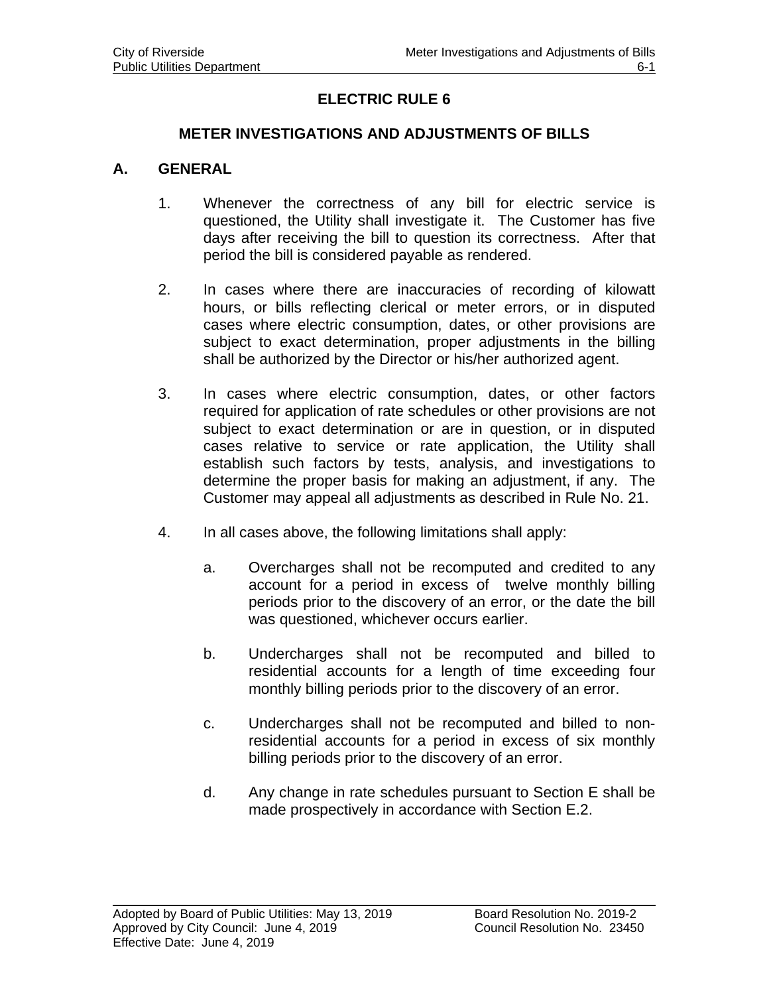## **ELECTRIC RULE 6**

### **METER INVESTIGATIONS AND ADJUSTMENTS OF BILLS**

#### **A. GENERAL**

- 1. Whenever the correctness of any bill for electric service is questioned, the Utility shall investigate it. The Customer has five days after receiving the bill to question its correctness. After that period the bill is considered payable as rendered.
- 2. In cases where there are inaccuracies of recording of kilowatt hours, or bills reflecting clerical or meter errors, or in disputed cases where electric consumption, dates, or other provisions are subject to exact determination, proper adjustments in the billing shall be authorized by the Director or his/her authorized agent.
- 3. In cases where electric consumption, dates, or other factors required for application of rate schedules or other provisions are not subject to exact determination or are in question, or in disputed cases relative to service or rate application, the Utility shall establish such factors by tests, analysis, and investigations to determine the proper basis for making an adjustment, if any. The Customer may appeal all adjustments as described in Rule No. 21.
- 4. In all cases above, the following limitations shall apply:
	- a. Overcharges shall not be recomputed and credited to any account for a period in excess of twelve monthly billing periods prior to the discovery of an error, or the date the bill was questioned, whichever occurs earlier.
	- b. Undercharges shall not be recomputed and billed to residential accounts for a length of time exceeding four monthly billing periods prior to the discovery of an error.
	- c. Undercharges shall not be recomputed and billed to nonresidential accounts for a period in excess of six monthly billing periods prior to the discovery of an error.
	- d. Any change in rate schedules pursuant to Section E shall be made prospectively in accordance with Section E.2.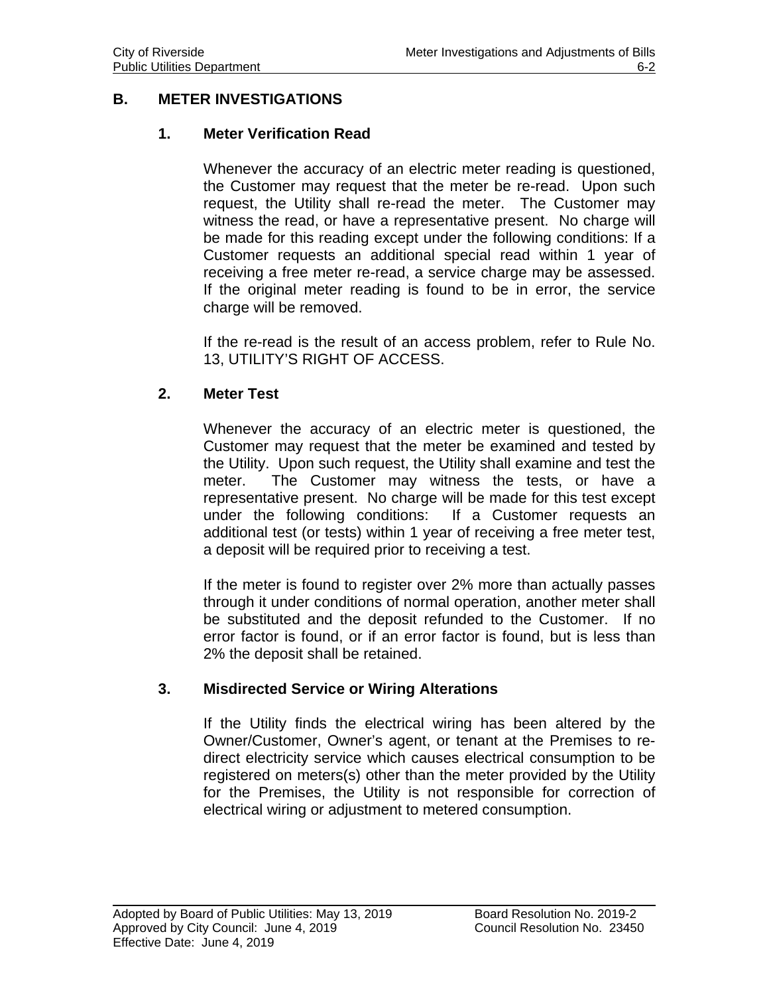## **B. METER INVESTIGATIONS**

## **1. Meter Verification Read**

Whenever the accuracy of an electric meter reading is questioned, the Customer may request that the meter be re-read. Upon such request, the Utility shall re-read the meter. The Customer may witness the read, or have a representative present. No charge will be made for this reading except under the following conditions: If a Customer requests an additional special read within 1 year of receiving a free meter re-read, a service charge may be assessed. If the original meter reading is found to be in error, the service charge will be removed.

If the re-read is the result of an access problem, refer to Rule No. 13, UTILITY'S RIGHT OF ACCESS.

### **2. Meter Test**

Whenever the accuracy of an electric meter is questioned, the Customer may request that the meter be examined and tested by the Utility. Upon such request, the Utility shall examine and test the meter. The Customer may witness the tests, or have a representative present. No charge will be made for this test except under the following conditions: If a Customer requests an additional test (or tests) within 1 year of receiving a free meter test, a deposit will be required prior to receiving a test.

If the meter is found to register over 2% more than actually passes through it under conditions of normal operation, another meter shall be substituted and the deposit refunded to the Customer. If no error factor is found, or if an error factor is found, but is less than 2% the deposit shall be retained.

#### **3. Misdirected Service or Wiring Alterations**

If the Utility finds the electrical wiring has been altered by the Owner/Customer, Owner's agent, or tenant at the Premises to redirect electricity service which causes electrical consumption to be registered on meters(s) other than the meter provided by the Utility for the Premises, the Utility is not responsible for correction of electrical wiring or adjustment to metered consumption.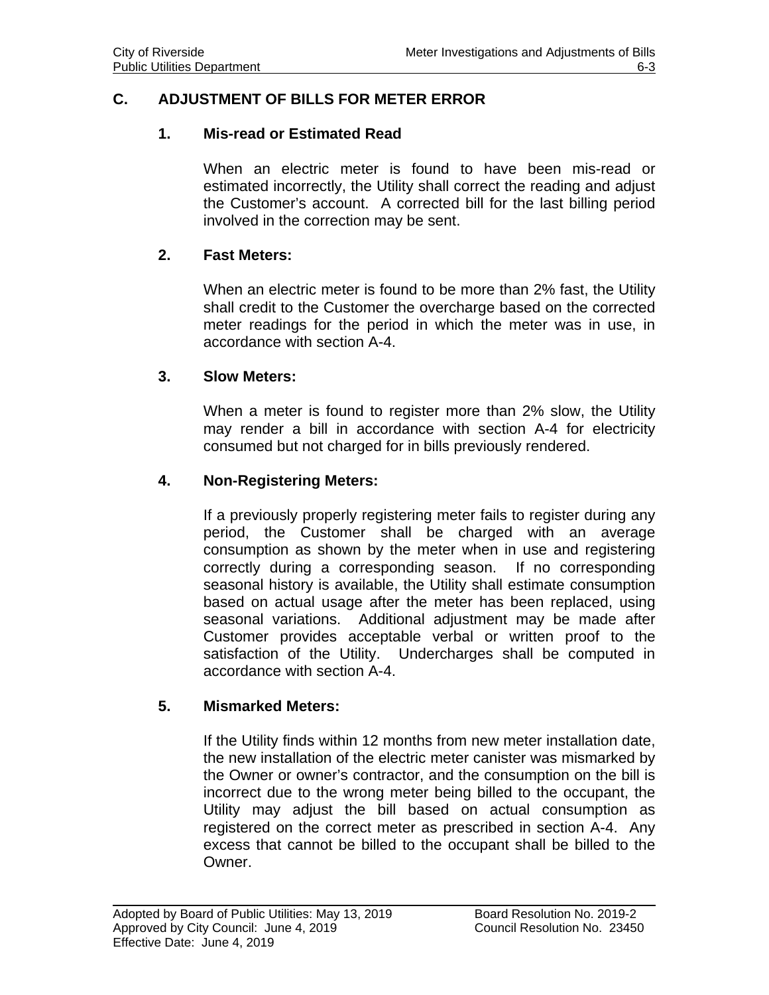## **C. ADJUSTMENT OF BILLS FOR METER ERROR**

#### **1. Mis-read or Estimated Read**

When an electric meter is found to have been mis-read or estimated incorrectly, the Utility shall correct the reading and adjust the Customer's account. A corrected bill for the last billing period involved in the correction may be sent.

#### **2. Fast Meters:**

When an electric meter is found to be more than 2% fast, the Utility shall credit to the Customer the overcharge based on the corrected meter readings for the period in which the meter was in use, in accordance with section A-4.

#### **3. Slow Meters:**

When a meter is found to register more than 2% slow, the Utility may render a bill in accordance with section A-4 for electricity consumed but not charged for in bills previously rendered.

#### **4. Non-Registering Meters:**

If a previously properly registering meter fails to register during any period, the Customer shall be charged with an average consumption as shown by the meter when in use and registering correctly during a corresponding season. If no corresponding seasonal history is available, the Utility shall estimate consumption based on actual usage after the meter has been replaced, using seasonal variations. Additional adjustment may be made after Customer provides acceptable verbal or written proof to the satisfaction of the Utility. Undercharges shall be computed in accordance with section A-4.

#### **5. Mismarked Meters:**

If the Utility finds within 12 months from new meter installation date, the new installation of the electric meter canister was mismarked by the Owner or owner's contractor, and the consumption on the bill is incorrect due to the wrong meter being billed to the occupant, the Utility may adjust the bill based on actual consumption as registered on the correct meter as prescribed in section A-4. Any excess that cannot be billed to the occupant shall be billed to the Owner.

 $\overline{a}$